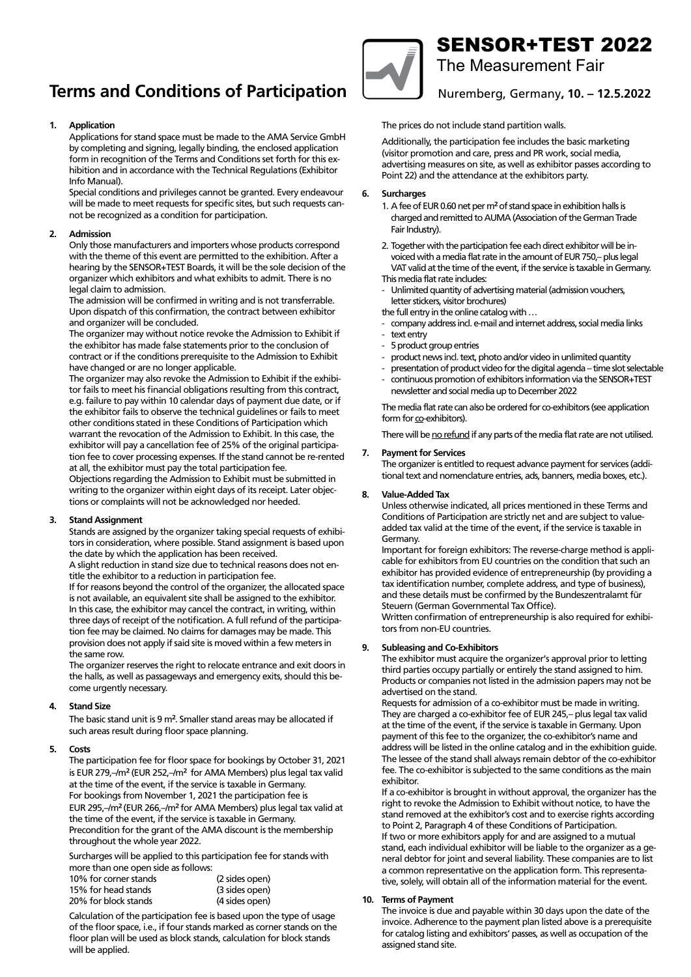# **Terms and Conditions of Participation**  $\Box$  Nuremberg, Germany, 10. – 12.5.202

## **1. Application**

**1.** Application and signing, legally binding, the enclosed application form in recognition of the Terms and Conditions set forth for this exhibition and in accordance with the Technical Regulations (Exhibitor Info Manual). In recognition of the Terms and Conditions set for this ex-Applications for stand space must be made to the AMA Service GmbH

Special conditions and privileges cannot be granted. Every endeavour will be made to meet requests for specific sites, but such requests cannot be recognized as a condition for participation.

#### kept on file and, if necessary, divulged to third parties for contract parties for contract parties for contract  $\alpha$ fulfillment. **2. Admission**

Special conditions and privileges cannot be granted. Every endeavour with the theme of this event are permitted to the exhibition. After a with the theme of this event are permitted to the exhibition. After a<br>hearing by the SENSOR+TEST Boards, it will be the sole decision of the not be recognized as a condition for the participation of participation of the sole decision of Only those manufacturers and importers whose products correspond legal claim to admission.

**2. Admission** The admission will be confirmed in writing and is not transferrable. Upon dispatch of this confirmation, the contract between exhibitor and organizer will be concluded.  $\blacksquare$ 

The organizer may without notice revoke the Admission to Exhibit if the exhibitor has made false statements prior to the conclusion of contract or if the conditions prerequisite to the Admission to Exhibit have changed or are no longer applicable.

The organizer may also revoke the Admission to Exhibit if the exhibitor fails to meet his financial obligations resulting from this contract, e.g. failure to pay within to calcular days or payment due date, or f the exhibitor fails to observe the technical guidelines or fails to meet other conditions stated in these Conditions of Participation which warrant the revocation of the Admission to Exhibit. In this case, the The organizer may also revoke the Admission to Exhibit if the exhibi-tion fee to cover processing expenses. If the stand cannot be re-rented at all, the exhibitor must pay the total participation fee. at an, are eximated mast pay are total participation rec.<br>Objections regarding the Admission to Exhibit must be submitted in e.g. failure to pay within 10 calendar days of payment due date, or if exhibitor will pay a cancellation fee of 25% of the original participa-

the exhibitor fails to observe the technical guidelines or fails to meet writing to the organizer within eight days of its receipt. Later objeconthing to the organizer within eight adjoint of receipt. Eater objective tions or complaints will not be acknowledged nor heeded.

## **3. Stand Assignment 3.** *Cancellation fee of 25% of the original participal participal participal participal participal participal participate of 25% of the original participate of 25% of the original participate of*

Stands are assigned by the organizer taking special requests of exhibitors in consideration, where possible. Stand assignment is based upon the date by which the application has been received.

A slight reduction in stand size due to technical reasons does not entitle the exhibitor to a reduction in participation fee.

**3. Stand Assignment** is not available, an equivalent site shall be assigned to the exhibitor. are also the exhibitor may cancel the contract, in whiting, within<br>three days of receipt of the notification. A full refund of the participaall consideration, where the momentum is a full result of the participation fee may be claimed. No claims for damages may be made. This the distribution of the date by which the application of the application of the second of the bean received. provision does not apply if said site is moved within a few meters in<br>the same row If for reasons beyond the control of the organizer, the allocated space In this case, the exhibitor may cancel the contract, in writing, within the same row.

The organizer reserves the right to relocate entrance and exit doors in the halls, as well as passageways and emergency exits, should this become urgently necessary. Come assigned to the exhibitor. In this case, the exhibitor may cancel the contract, in writing, with  $\alpha$ 

### **the day of the notification** of the notification. A full refund of the participa-

The basic stand unit is 9 m<sup>2</sup>. Smaller stand areas may be allocated if such areas result during floor space planning.

#### **5. Costs**

The organizer reserves the right to relocate entrance and exit doors in The participation fee for floor space for bookings by October 31, 2021 is EUR 279,–/m<sup>2</sup> (EUR 252,–/m<sup>2</sup> for AMA Members) plus legal tax valid **4. Stand Size** EUR 295,–/m² (EUR 266,–/m² for AMA Members) plus legal tax valid at In the time of the event, if the service is taxable in Germany. Precondition for the grant of the AMA discount is the membership at the time of the event, if the service is taxable in Germany. For bookings from November 1, 2021 the participation fee is throughout the whole year 2022.

**5. Costs** Surcharges will be applied to this participation fee for stands with more than one open side as follows:

| 10% for corner stands | (2 sides open) |  |
|-----------------------|----------------|--|
| 15% for head stands   | (3 sides open) |  |
| 20% for block stands  | (4 sides open) |  |

Calculation of the participation fee is based upon the type of usage of the floor space, i.e., if four stands marked as corner stands on the floor plan will be used as block stands, calculation for block stands will be applied.



# SENSOR+TEST 2022

The Measurement Fair The Measurement Fair

Nuremberg, Germany**, 10. – 12.5.2022**

The prices do not include stand partition walls.

Additionally, the participation fee includes the basic marketing (visitor promotion and care, press and PR work, social media, advertising measures on site, as well as exhibitor passes according to Point 22) and the attendance at the exhibitors party.

## 20% for block stands (4 sides open) **6. Surcharges**

- 1. A fee of EUR 0.60 net per m<sup>2</sup> of stand space in exhibition halls is  $\alpha$  the floor space is the floor space, i.e., i.e.,  $\alpha$  i.e.,  $\alpha$  i.e.,  $\alpha$  i.e.,  $\alpha$  i.e.,  $\alpha$  i.e.,  $\alpha$  i.e.,  $\alpha$  i.e.,  $\alpha$  i.e.,  $\alpha$  i.e.,  $\alpha$  i.e.,  $\alpha$  i.e.,  $\alpha$  i.e.,  $\alpha$  i.e.,  $\alpha$  i.e.,  $\alpha$  i.e.,  $\alpha$ charged and remitted to AUMA (Association of the German Trade Fair Industry).
- voiced with a media flat rate in the amount of EUR 750,– plus legal This media flat rate includes: the basic marketing (visi-2. Together with the participation fee each direct exhibitor will be in- VAT valid at the time of the event, if the service is taxable in Germany.
- Unlimited quantity of advertising material (admission vouchers, letter stickers, visitor brochures)
	- the full entry in the online catalog with …
- company address incl. e-mail and internet address, social media links
	- text entry and space in exhibition halls in exhibition halls in exhibition halls in exhibition halls in exhibition  $\mathbb{R}$
	- 5 product group entries and the German Trade to AUMA (Association of the German Trade
	- product news incl. text, photo and/or video in unlimited quantity
	- presentation of product video for the digital agenda time slot selectable
- presentation or product video for the digital digendal annie siot selection<br>- continuous promotion of exhibitors information via the SENSOR+TEST voice in the amount of Eur in the amount of The amount of European flat rate in the amount of EUR 250,– plus l newsletter and social media up to December 2022

The media flat rate can also be ordered for co-exhibitors (see application form for <u>co</u>-exhibitors).

 $\frac{1}{2}$  There will be no refund if any narts of the media flat rate are not There will be <u>no refund</u> if any parts of the media flat rate are not utilised.<br>

## **7.** Payment for Services

The organizer is entitled to request advance payment for services (additional text and nomenclature entries, ads, banners, media boxes, etc.).

## 8. Value-Added Tax

Unless otherwise indicated, all prices mentioned in these Terms and added tax valid at the time of the event, if the service is taxable in Conditions of Participation are strictly net and are subject to value-Germany.

uermany.<br>Important for foreign exhibitors: The reverse-charge method is applicable for exhibitors from EU countries on the condition that such an exhibitor has provided evidence of entrepreneurship (by providing a tax identification number, complete address, and type of business), and these details must be confirmed by the Bundeszentralamt für Steuern (German Governmental Tax Office).

tors from non-EU countries. Written confirmation of entrepreneurship is also required for exhibi-

## **7. Payment for Services 9. Subleasing and Co-Exhibitors**

The exhibitor must acquire the organizer's approval prior to letting third parties occupy partially or entirely the stand assigned to him. **8. Value-Added Tax** advertised on the stand. Products or companies not listed in the admission papers may not be

Requests for admission of a co-exhibitor must be made in writing. They are charged a co-exhibitor fee of EUR 245,– plus legal tax valid at the time of the event, if the service is taxable in Germany. Upon payment of this fee to the organizer, the co-exhibitor's name and address will be listed in the online catalog and in the exhibition guide. The lessee of the stand shall always remain debtor of the co-exhibitor fee. The co-exhibitor is subjected to the same conditions as the main  $\epsilon$ x hibitor. The identification number of business, and type of business, and type of business, and type of business, and type of business, and type of business, and type of business, and type of business, and type of b exhibitor.

If a co-exhibitor is brought in without approval, the organizer has the right to revoke the Admission to Exhibit without notice, to have the stand removed at the exhibitor's cost and to exercise rights according to Point 2, Paragraph 4 of these Conditions of Participation. **9. Subleasing and Co-Exhibitors** stand, each individual exhibitor will be liable to the organizer as a general debtor for joint and several liability. These companies are to list a common representative on the application form. This representative, solely, will obtain all of the information material for the event. If two or more exhibitors apply for and are assigned to a mutual

## **10. Terms of Payment**

requests for admission of a co-exhibitor must be made in writing.<br>The material must be made in writing. The material material material materials of a co-exhibitor of a co-exhibitor of The invoice is due and payable within 30 days upon the date of the invoice. Adherence to the payment plan listed above is a prerequisite for catalog listing and exhibitors' passes, as well as occupation of the assigned stand site.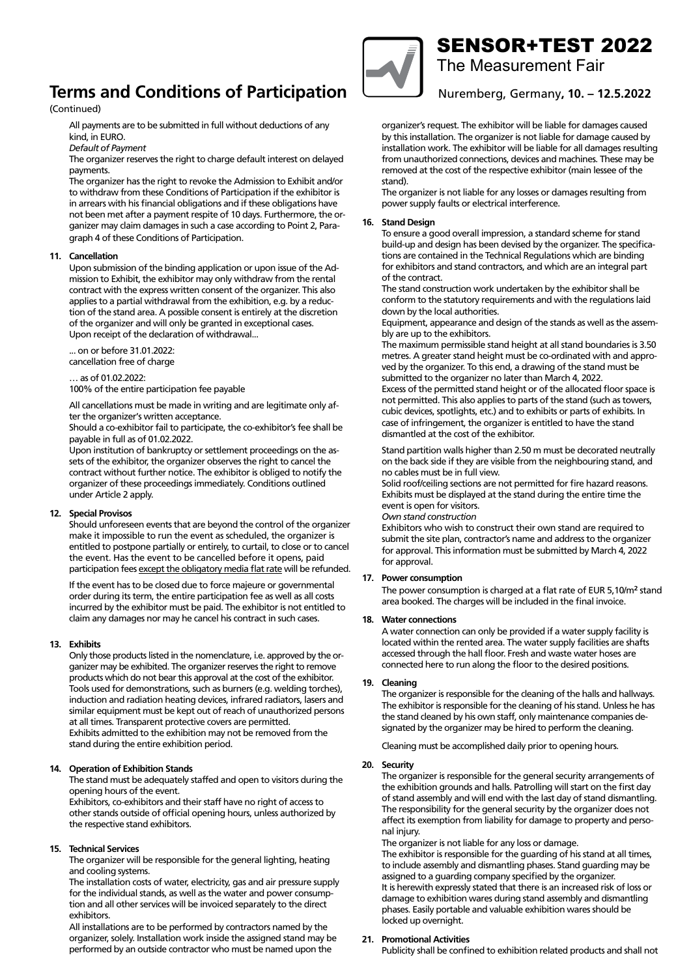## **Terms and Conditions of Participation Terms and Conditions of Participation**

## (Continued) (Continued)

All payments are to be submitted in full without deductions of any fee. The co-exhibitor is subjected to the same conditions as the main conditions as the main conditions as the main conditions as the main conditions as the main conditions as the main conditions as the main conditions as

*Default of Payment* 

The organizer reserves the right to charge default interest on delayed payments. The Admission to revoke the Admission to the Admission to the Admission to have the Admission to have payments.

The organizer has the right to revoke the Admission to Exhibit and/or to withdraw from these Conditions of Participation if the exhibitor is in arrears with his financial obligations and if these obligations have not been met after a payment respite of 10 days. Furthermore, the organizer may claim damages in such a case according to Point 2, Paragraph 4 of these Conditions of Participation.

#### tive, solely, will obtain a little information material for the information material for the event. **11. Cancellation**

**10. Terms of Payment** mission to Exhibit, the exhibitor may only withdraw from the rental mation to manife, are diameter may any manufer nomines contract with the express written consent of the organizer. This also applies to a partial withdrawal from the exhibition, e.g. by a reduction of the stand area. A possible consent is entirely at the discretion of the organizer and will only be granted in exceptional cases. Upon receipt of the declaration of withdrawal... Upon submission of the binding application or upon issue of the Ad-

... on or before 31.01.2022: submit the interest of the interest.<br>cancellation free of charge  $2.$  The balance of this involvement by submitted by submitted by submitted by submitted by submitted by  $\frac{1}{2}$ 

… as of 01.02.2022: 100% of the entire participation fee payable

All cancellations must be made in writing and are legitimate only after the organizer's written acceptance.

Should a co-exhibitor fail to participate, the co-exhibitor's fee shall be payable in full as of 01.02.2022.

Upon institution of bankruptcy or settlement proceedings on the assets of the exhibitor, the organizer observes the right to cancel the contract without further notice. The exhibitor is obliged to notify the *Default of Payment*  organizer of these proceedings immediately. Conditions outlined under Article 2 apply.

## 12. Special Provisos

should unforeseen events that are beyond the control of the organizer make it impossible to run the event as scheduled, the organizer is entitled to postpone partially or entirely, to curtail, to close or to cancel the event. Has the event to be cancelled before it opens, paid participation fees except the obligatory media flat rate will be refunded.

If the event has to be closed due to force majeure or governmental **11. Cancellation** order during its term, the entire participation fee as well as all costs incurred by the exhibitor must be paid. The exhibitor is not entitled to claim any damages nor may he cancel his contract in such cases.

#### applies to a partial withdrawal from the exhibition, e.g. by a reduc-**13. Exhibits**

Only those products listed in the nomenclature, i.e. approved by the organizer may be exhibited. The organizer reserves the right to remove products which do not bear this approval at the cost of the exhibitor. Tools used for demonstrations, such as burners (e.g. welding torches), induction and radiation heating devices, infrared radiators, lasers and at all times. Transparent protective covers are permitted. Exhibits admitted to the exhibition may not be removed from the similar equipment must be kept out of reach of unauthorized persons stand during the entire exhibition period.

#### 14. Operation of Exhibition Stands

opening hours of the event. The stand must be adequately staffed and open to visitors during the

Exhibitors, co-exhibitors and their staff have no right of access to the respective stand exhibitors. other stands outside of official opening hours, unless authorized by

#### Should an exhibitor cancel the space assigned to him and should it be **15. Technical Services**

The organizer will be responsible for the general lighting, heating and cooling systems. The entire participation fee will be charged to the charged to the charged to the charged to the charged to the charged to the charged to the charged to the charged to the charged to the charged to the

The installation costs of water, electricity, gas and air pressure supply for the individual stands, as well as the water and power consumption and all other services will be invoiced separately to the direct he has the right to allocate such a stand or stand area to another exhibitors.

All installations are to be performed by contractors named by the organizer, solely. Installation work inside the assigned stand may be performed by an outside contractor who must be named upon the



## SENSOR+TEST 2022

The Measurement Fair The Measurement Fair

Nürnberg, Germany, **26. – 28.6.2018** Nuremberg, Germany**, 10. – 12.5.2022**

organizer's request. The exhibitor will be liable for damages caused by this installation. The organizer is not liable for damage caused by installation work. The exhibitor will be liable for all damages resulting from unauthorized connections, devices and machines. These may be removed at the cost of the respective exhibitor (main lessee of the  $\sigma$ ganizer of these proceedings immediately.  $\sigma$ stand).

The organizer is not liable for any losses or damages resulting from power supply faults or electrical interference.

## **12. Special Provisions 16. Stand Design**

- Imm - Iss<sub>a</sub>.<br>To ensure a good overall impression, a standard scheme for stand zer make it impossible to run the event as originally planned, the or-build-up and design has been devised by the organizer. The specificaganizer is entitled to postpone partially or entirely, to cancel, to ex-tions are contained in the Technical Regulations which are binding tens are contained in the rechnical hogeiations militarial surfaing for exhibitors and stand contractors, and which are an integral part<br>of the contract of the contract.

of are conclede.<br>The stand construction work undertaken by the exhibitor shall be me stand constraction work ander taken by the samples shall be conform to the statutory requirements and with the regulations laid down by the local authorities.

**13. Exhibits** Equipment, appearance and design of the stands as well as the assem-Only those products listed in the nomenclature, i.e. approved by the or-bly are up to the exhibitors.

ary are a<sub>ll</sub>e to are charactere.<br>The maximum permissible stand height at all stand boundaries is 3.50 metres. A greater stand height must be co-ordinated with and apprometres. Ty greater stand neight mast be to brainated with this approved by the organizer. To this end, a drawing of the stand must be induction and radiation heating devices, infrared radiators, lasers and submitted to the organizer no later than March 4, 2022.

Excess of the permitted stand height or of the allocated floor space is excess of the permitted stand height of or the allocated hoor space.<br>not permitted. This also applies to parts of the stand (such as towers, not permitted. This disc applies to parts of the stand (secres cover<br>cubic devices, spotlights, etc.) and to exhibits or parts of exhibits. In case of infringement, the organizer is entitled to have the stand **14. Operation of Exhibition Stands** dismantled at the cost of the exhibitor.

Stand partition walls higher than 2.50 m must be decorated neutrally Stand partition walls higher than 2.50 m must be decorated neutrally<br>on the back side if they are visible from the neighbouring stand, and no cables must be in full view.

Solid roof/ceiling sections are not permitted for fire hazard reasons. Exhibits must be displayed at the stand during the entire time the event is open for visitors.

**15. Technical Services** *Own stand construction*

Exhibitors who wish to construct their own stand are required to submit the site plan, contractor's name and address to the organizer for approval. This information must be submitted by March 4, 2022 for approval. Stands, as well as the water and power consumption  $\mathcal{L}$ 

## **17.** Power consumption

. Show substription.<br>The power consumption is charged at a flat rate of EUR 5,10/m² stand  $\frac{1}{2}$  are to be performed by contractors of the performed by the performed by the performance of  $\frac{1}{2}$  and  $\frac{1}{2}$  are the performed by the performed by the performed by the performed by the performance of  $\frac{1$ area booked. The charges will be included in the final invoice.

### **18.** Water connections

A water connection can only be provided if a water supply facility is located within the rented area. The water supply facilities are shafts accessed through the hall floor. Fresh and waste water hoses are connected here to run along the floor to the desired positions connected here to run along the floor to the desired positions.<br>.

#### 19. Cleaning

The organizer is responsible for the cleaning of the halls and hallways. The exhibitor is responsible for the cleaning of his stand. Unless he has **16. Stand Design** signated by the organizer may be hired to perform the cleaning. the stand cleaned by his own staff, only maintenance companies de-

To ensure a good overall impression, a standard scheme for stand Cleaning must be accomplished daily prior to opening hours.

#### $\frac{1}{2}$ **20. Security**

**The organizer is responsible for the general security arrangements of The organizer is responsible for the general part**  $\sigma$ of the contract. the exhibition grounds and halls. Patrolling will start on the first day are stand assembly and will end with the last day of stand dismantling. conform to the statutory requirements and with the regulations laid The responsibility for the general security by the organizer does not me responsionity to the gene affect its exemption from liability for damage to property and perso-<br>nel iniums nal injury.

namigary.<br>The organizer is not liable for any loss or damage. The exhibitor is not habit for any loss of damage.<br>The exhibitor is responsible for the guarding of his stand at all times, metres. A greater is responsible for the guarding of his stand at an ames, to include assembly and dismantling phases. Stand guarding may be ved by the organizer. To this end, a drawing of the stand must be assigned to a guarding company specified by the organizer. assigned to a gadiantly company specified by the organizer.<br>It is herewith expressly stated that there is an increased risk of loss or Excess of the permitted stand height or of the allocated floor space is damage to exhibition wares during stand assembly and dismantling not permitted. This also also applied to part to part of the standard (such as towers, and the standard (such <br>In the season contribution of the standard (such as to be definition of the standard standard land) phases. Easily portable and valuable exhibition wares should be<br>ladied we assemink locked up overnight.

### **21. Promotional Activities**

Publicity shall be confined to exhibition related products and shall not